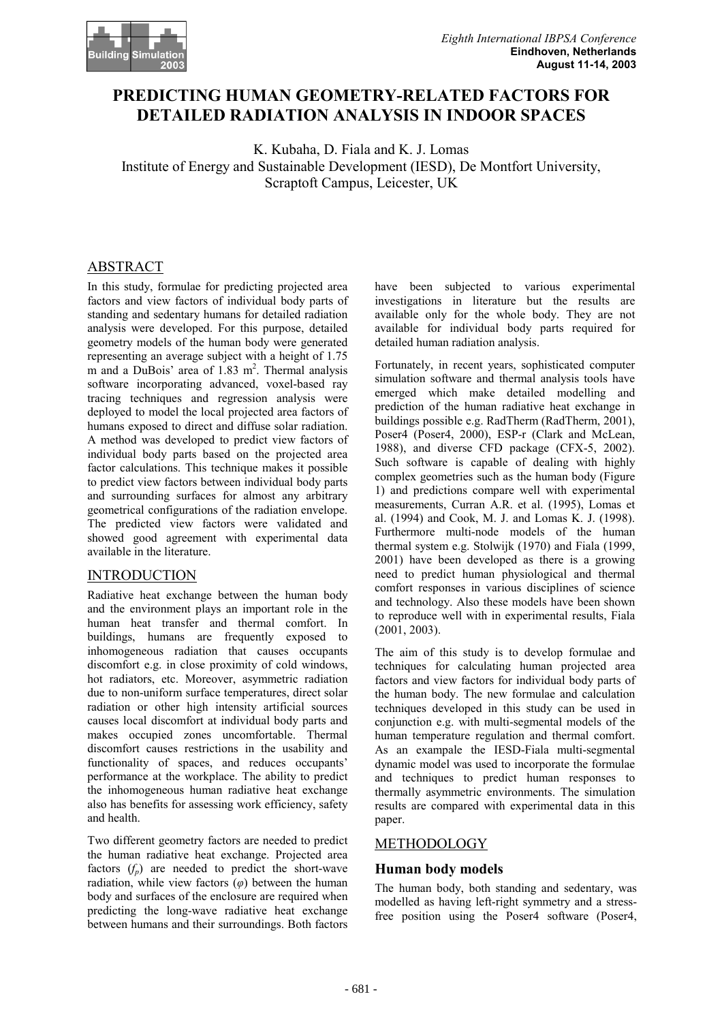

# **PREDICTING HUMAN GEOMETRY-RELATED FACTORS FOR DETAILED RADIATION ANALYSIS IN INDOOR SPACES**

K. Kubaha, D. Fiala and K. J. Lomas Institute of Energy and Sustainable Development (IESD), De Montfort University, Scraptoft Campus, Leicester, UK

## ABSTRACT

In this study, formulae for predicting projected area factors and view factors of individual body parts of standing and sedentary humans for detailed radiation analysis were developed. For this purpose, detailed geometry models of the human body were generated representing an average subject with a height of 1.75  $m$  and a DuBois' area of 1.83  $m<sup>2</sup>$ . Thermal analysis software incorporating advanced, voxel-based ray tracing techniques and regression analysis were deployed to model the local projected area factors of humans exposed to direct and diffuse solar radiation. A method was developed to predict view factors of individual body parts based on the projected area factor calculations. This technique makes it possible to predict view factors between individual body parts and surrounding surfaces for almost any arbitrary geometrical configurations of the radiation envelope. The predicted view factors were validated and showed good agreement with experimental data available in the literature.

## INTRODUCTION

Radiative heat exchange between the human body and the environment plays an important role in the human heat transfer and thermal comfort. In buildings, humans are frequently exposed to inhomogeneous radiation that causes occupants discomfort e.g. in close proximity of cold windows, hot radiators, etc. Moreover, asymmetric radiation due to non-uniform surface temperatures, direct solar radiation or other high intensity artificial sources causes local discomfort at individual body parts and makes occupied zones uncomfortable. Thermal discomfort causes restrictions in the usability and functionality of spaces, and reduces occupants' performance at the workplace. The ability to predict the inhomogeneous human radiative heat exchange also has benefits for assessing work efficiency, safety and health.

Two different geometry factors are needed to predict the human radiative heat exchange. Projected area factors  $(f_n)$  are needed to predict the short-wave radiation, while view factors  $(\varphi)$  between the human body and surfaces of the enclosure are required when predicting the long-wave radiative heat exchange between humans and their surroundings. Both factors have been subjected to various experimental investigations in literature but the results are available only for the whole body. They are not available for individual body parts required for detailed human radiation analysis.

Fortunately, in recent years, sophisticated computer simulation software and thermal analysis tools have emerged which make detailed modelling and prediction of the human radiative heat exchange in buildings possible e.g. RadTherm (RadTherm, 2001), Poser4 (Poser4, 2000), ESP-r (Clark and McLean, 1988), and diverse CFD package (CFX-5, 2002). Such software is capable of dealing with highly complex geometries such as the human body (Figure 1) and predictions compare well with experimental measurements, Curran A.R. et al. (1995), Lomas et al. (1994) and Cook, M. J. and Lomas K. J. (1998). Furthermore multi-node models of the human thermal system e.g. Stolwijk (1970) and Fiala (1999, 2001) have been developed as there is a growing need to predict human physiological and thermal comfort responses in various disciplines of science and technology. Also these models have been shown to reproduce well with in experimental results, Fiala (2001, 2003).

The aim of this study is to develop formulae and techniques for calculating human projected area factors and view factors for individual body parts of the human body. The new formulae and calculation techniques developed in this study can be used in conjunction e.g. with multi-segmental models of the human temperature regulation and thermal comfort. As an exampale the IESD-Fiala multi-segmental dynamic model was used to incorporate the formulae and techniques to predict human responses to thermally asymmetric environments. The simulation results are compared with experimental data in this paper.

## METHODOLOGY

## **Human body models**

The human body, both standing and sedentary, was modelled as having left-right symmetry and a stressfree position using the Poser4 software (Poser4,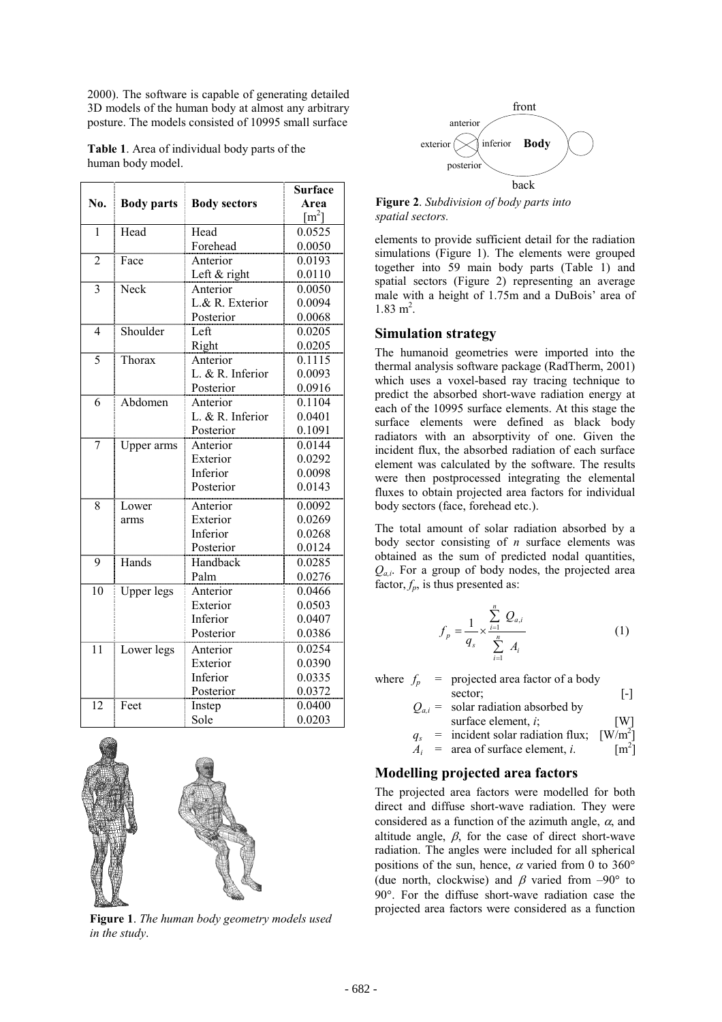2000). The software is capable of generating detailed 3D models of the human body at almost any arbitrary posture. The models consisted of 10995 small surface

**Table 1**. Area of individual body parts of the human body model.

|                          |                   |                     | <b>Surface</b>     |
|--------------------------|-------------------|---------------------|--------------------|
| No.                      | <b>Body parts</b> | <b>Body sectors</b> | Area               |
|                          |                   |                     | $\mathrm{[m^{2}]}$ |
| 1                        | Head              | Head                | 0.0525             |
|                          |                   | Forehead            | 0.0050             |
| $\overline{2}$           | Face              | Anterior            | 0.0193             |
|                          |                   | Left $&$ right      | 0.0110             |
| 3                        | Neck              | Anterior            | 0.0050             |
|                          |                   | L.& R. Exterior     | 0.0094             |
|                          |                   | Posterior           | 0.0068             |
| $\overline{\mathcal{A}}$ | Shoulder          | Left                | 0.0205             |
|                          |                   | Right               | 0.0205             |
| 5                        | Thorax            | Anterior            | 0.1115             |
|                          |                   | L. & R. Inferior    | 0.0093             |
|                          |                   | Posterior           | 0.0916             |
| 6                        | Abdomen           | Anterior            | 0.1104             |
|                          |                   | L. & R. Inferior    | 0.0401             |
|                          |                   | Posterior           | 0.1091             |
| 7                        | Upper arms        | Anterior            | 0.0144             |
|                          |                   | Exterior            | 0.0292             |
|                          |                   | Inferior            | 0.0098             |
|                          |                   | Posterior           | 0.0143             |
| 8                        | Lower             | Anterior            | 0.0092             |
|                          | arms              | Exterior            | 0.0269             |
|                          |                   | Inferior            | 0.0268             |
|                          |                   | Posterior           | 0.0124             |
| 9                        | Hands             | Handback            | 0.0285             |
|                          |                   | Palm                | 0.0276             |
| $\overline{10}$          | <b>Upper legs</b> | Anterior            | 0.0466             |
|                          |                   | Exterior            | 0.0503             |
|                          |                   | Inferior            | 0.0407             |
|                          |                   | Posterior           | 0.0386             |
| $\overline{11}$          | Lower legs        | Anterior            | 0.0254             |
|                          |                   | Exterior            | 0.0390             |
|                          |                   | Inferior            | 0.0335             |
|                          |                   | Posterior           | 0.0372             |
| 12                       | Feet              | Instep              | 0.0400             |
|                          |                   | Sole                | 0.0203             |



**Figure 1**. *The human body geometry models used in the study*.



**Figure 2**. *Subdivision of body parts into spatial sectors.*

elements to provide sufficient detail for the radiation simulations (Figure 1). The elements were grouped together into 59 main body parts (Table 1) and spatial sectors (Figure 2) representing an average male with a height of 1.75m and a DuBois' area of  $1.83 \text{ m}^2$ .

## **Simulation strategy**

The humanoid geometries were imported into the thermal analysis software package (RadTherm, 2001) which uses a voxel-based ray tracing technique to predict the absorbed short-wave radiation energy at each of the 10995 surface elements. At this stage the surface elements were defined as black body radiators with an absorptivity of one. Given the incident flux, the absorbed radiation of each surface element was calculated by the software. The results were then postprocessed integrating the elemental fluxes to obtain projected area factors for individual body sectors (face, forehead etc.).

The total amount of solar radiation absorbed by a body sector consisting of *n* surface elements was obtained as the sum of predicted nodal quantities, *Qa,i*. For a group of body nodes, the projected area factor,  $f_p$ , is thus presented as:

$$
f_p = \frac{1}{q_s} \times \frac{\sum_{i=1}^{n} Q_{a,i}}{\sum_{i=1}^{n} A_i}
$$
 (1)

where 
$$
f_p
$$
 = projected area factor of a body  
sector; [-]  
 $Q_{a,i}$  = solar radiation absorbed by  
surface element, *i*; [W]  
 $q_s$  = incident solar radiation flux; [W/m<sup>2</sup>]  
 $A_i$  = area of surface element, *i*. [m<sup>2</sup>]

## **Modelling projected area factors**

The projected area factors were modelled for both direct and diffuse short-wave radiation. They were considered as a function of the azimuth angle,  $\alpha$ , and altitude angle,  $\beta$ , for the case of direct short-wave radiation. The angles were included for all spherical positions of the sun, hence,  $\alpha$  varied from 0 to 360 $^{\circ}$ (due north, clockwise) and  $\beta$  varied from -90° to 90. For the diffuse short-wave radiation case the projected area factors were considered as a function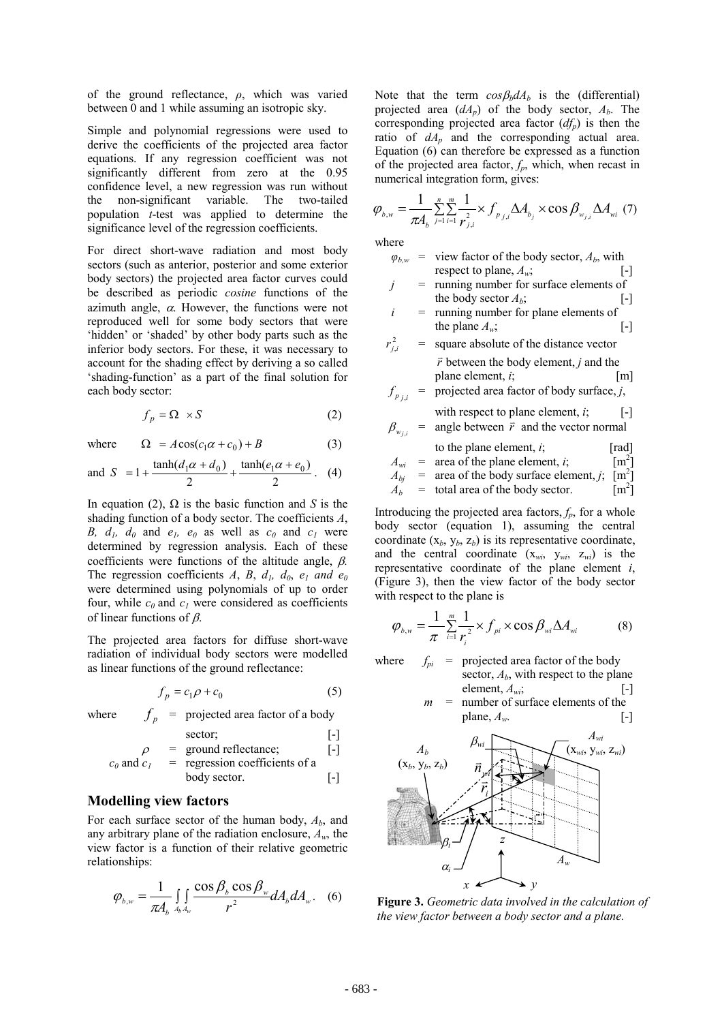of the ground reflectance, *ρ*, which was varied between 0 and 1 while assuming an isotropic sky.

Simple and polynomial regressions were used to derive the coefficients of the projected area factor equations. If any regression coefficient was not significantly different from zero at the 0.95 confidence level, a new regression was run without the non-significant variable. The two-tailed population *t*-test was applied to determine the significance level of the regression coefficients.

For direct short-wave radiation and most body sectors (such as anterior, posterior and some exterior body sectors) the projected area factor curves could be described as periodic *cosine* functions of the azimuth angle,  $\alpha$ . However, the functions were not reproduced well for some body sectors that were 'hidden' or 'shaded' by other body parts such as the inferior body sectors. For these, it was necessary to account for the shading effect by deriving a so called 'shading-function' as a part of the final solution for each body sector:

$$
f_p = \Omega \times S \tag{2}
$$

where  $\Omega = A\cos(c_1\alpha + c_0) + B$  (3)

and 
$$
S = 1 + \frac{\tanh(d_1\alpha + d_0)}{2} + \frac{\tanh(e_1\alpha + e_0)}{2}
$$
. (4)

In equation (2),  $\Omega$  is the basic function and *S* is the shading function of a body sector. The coefficients *A*, *B, d<sub>1</sub>, d<sub>0</sub>* and  $e_1$ ,  $e_0$  as well as  $c_0$  and  $c_1$  were determined by regression analysis. Each of these coefficients were functions of the altitude angle,  $\beta$ . The regression coefficients  $A$ ,  $B$ ,  $d<sub>l</sub>$ ,  $d<sub>0</sub>$ ,  $e<sub>l</sub>$  and  $e<sub>0</sub>$ were determined using polynomials of up to order four, while  $c_0$  and  $c_1$  were considered as coefficients of linear functions of  $\beta$ .

The projected area factors for diffuse short-wave radiation of individual body sectors were modelled as linear functions of the ground reflectance:

$$
f_p = c_1 \rho + c_0 \tag{5}
$$

where  $f_n$  = projected area factor of a body

$$
\rho = \text{ground reflectance}; \qquad \qquad [-]
$$

$$
c_0
$$
 and  $c_1$  = regression coefficients of a  
body sector.

#### **Modelling view factors**

For each surface sector of the human body,  $A<sub>b</sub>$ , and any arbitrary plane of the radiation enclosure, *Aw*, the view factor is a function of their relative geometric relationships:

$$
\varphi_{b,w} = \frac{1}{\pi A_b} \iint_{A_b A_w} \frac{\cos \beta_b \cos \beta_w}{r^2} dA_b dA_w. \quad (6)
$$

Note that the term  $cos\beta_b dA_b$  is the (differential) projected area  $(dA_p)$  of the body sector,  $A_b$ . The corresponding projected area factor  $(df_p)$  is then the ratio of  $dA_p$  and the corresponding actual area. Equation (6) can therefore be expressed as a function of the projected area factor,  $f_p$ , which, when recast in numerical integration form, gives:

$$
\varphi_{b,w} = \frac{1}{\pi A_b} \sum_{j=1}^{n} \sum_{i=1}^{m} \frac{1}{r_{j,i}^2} \times f_{p_{j,i}} \Delta A_{b_j} \times \cos \beta_{w_{j,i}} \Delta A_{wi} (7)
$$

where

- $\varphi_{b,w}$  = view factor of the body sector,  $A_b$ , with respect to plane,  $A_w$ ; [-]
- *j* = running number for surface elements of the body sector  $A_b$ ; [-]
- *i* = running number for plane elements of the plane  $A_w$ ; [-]
- $r_i^2$ *<sup>j</sup>*,*<sup>i</sup> r* = square absolute of the distance vector *r* between the body element, *j* and the plane element, *i*; [m]  $f_{n+1}$  = projected area factor of body surface, *j*,

$$
p_{j,i} = \text{projected area factor of body surface},
$$
\n
$$
\text{with respect to plane element } i = 1.
$$

$$
\beta_{w_{j,i}} = \text{angle between } \vec{r} \text{ and the vector normal}
$$

to the plane element, *i*;  
\n
$$
A_{wi}
$$
 = area of the plane element, *i*;  
\n[m<sup>2</sup>]

$$
A_{bj}^{m} = \text{area of the body surface element}, j; \text{ [m}^2]
$$

$$
A_b = \text{total area of the body sector.} \qquad [m^2]
$$

Introducing the projected area factors,  $f_p$ , for a whole body sector (equation 1), assuming the central coordinate  $(x_b, y_b, z_b)$  is its representative coordinate, and the central coordinate  $(x_{wi}, y_{wi}, z_{wi})$  is the representative coordinate of the plane element *i*, (Figure 3), then the view factor of the body sector with respect to the plane is

$$
\varphi_{b,w} = \frac{1}{\pi} \sum_{i=1}^{m} \frac{1}{r_i^2} \times f_{pi} \times \cos \beta_{wi} \Delta A_{wi}
$$
(8)

where  $f_{pi}$  = projected area factor of the body sector, *Ab*, with respect to the plane

element,  $A_{wi}$ ; [-]  $m =$  number of surface elements of the

plane,  $A_w$ . [-]



**Figure 3.** *Geometric data involved in the calculation of the view factor between a body sector and a plane.*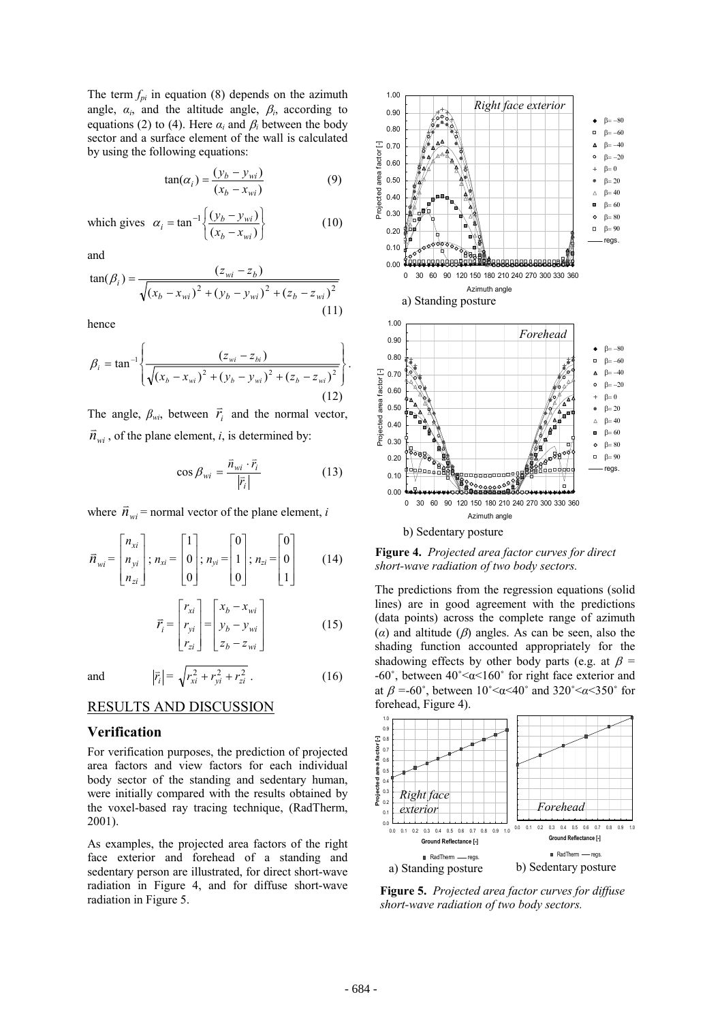The term  $f_{pi}$  in equation (8) depends on the azimuth angle,  $\alpha_i$ , and the altitude angle,  $\beta_i$ , according to equations (2) to (4). Here  $\alpha_i$  and  $\beta_i$  between the body sector and a surface element of the wall is calculated by using the following equations:

$$
tan(\alpha_i) = \frac{(y_b - y_{wi})}{(x_b - x_{wi})}
$$
 (9)

which gives J  $\left\{ \right.$ Ì  $\overline{\mathfrak{l}}$ ∤  $\int$  $= \tan^{-1} \left\{ \frac{(y_b - (x_a - y_b))^2}{(x_b - y_b)^2} \right\}$  $\tan^{-1} \left\{ \frac{(y_b - y_{wi})}{(x_b - x_{wi})} \right\}$  $b - x_{wi}$  $\alpha_i = \tan^{-1} \left\{ \frac{(y_b - y_{wi})}{(x_b - x_{wi})} \right\}$  (10)

and

$$
\tan(\beta_i) = \frac{(z_{wi} - z_b)}{\sqrt{(x_b - x_{wi})^2 + (y_b - y_{wi})^2 + (z_b - z_{wi})^2}}
$$
\n(11)

hence

$$
\beta_{i} = \tan^{-1} \left\{ \frac{(z_{wi} - z_{bi})}{\sqrt{(x_{b} - x_{wi})^{2} + (y_{b} - y_{wi})^{2} + (z_{b} - z_{wi})^{2}}} \right\}.
$$
\n(12)

The angle,  $\beta_{wi}$ , between  $\vec{r}_i$  and the normal vector,  $\overline{n}_{wi}$ , of the plane element, *i*, is determined by:

$$
\cos \beta_{wi} = \frac{\vec{n}_{wi} \cdot \vec{r}_i}{|\vec{r}_i|} \tag{13}
$$

where  $\vec{n}_{wi}$  = normal vector of the plane element, *i* 

$$
\vec{n}_{wi} = \begin{bmatrix} n_{xi} \\ n_{yi} \\ n_{zi} \end{bmatrix}; n_{xi} = \begin{bmatrix} 1 \\ 0 \\ 0 \end{bmatrix}; n_{yi} = \begin{bmatrix} 0 \\ 1 \\ 0 \end{bmatrix}; n_{zi} = \begin{bmatrix} 0 \\ 0 \\ 1 \end{bmatrix}
$$
(14)

$$
\vec{r}_i = \begin{bmatrix} r_{xi} \\ r_{yi} \\ r_{zi} \end{bmatrix} = \begin{bmatrix} x_b - x_{wi} \\ y_b - y_{wi} \\ z_b - z_{wi} \end{bmatrix}
$$
 (15)

and  $|\vec{r}_i|$ 

$$
\vec{r}_i \big| = \sqrt{r_{xi}^2 + r_{yi}^2 + r_{zi}^2} \ . \tag{16}
$$

## RESULTS AND DISCUSSION

#### **Verification**

For verification purposes, the prediction of projected area factors and view factors for each individual body sector of the standing and sedentary human, were initially compared with the results obtained by the voxel-based ray tracing technique, (RadTherm, 2001).

As examples, the projected area factors of the right face exterior and forehead of a standing and sedentary person are illustrated, for direct short-wave radiation in Figure 4, and for diffuse short-wave radiation in Figure 5.



**Figure 4.** *Projected area factor curves for direct short-wave radiation of two body sectors.* 

The predictions from the regression equations (solid lines) are in good agreement with the predictions (data points) across the complete range of azimuth ( $\alpha$ ) and altitude ( $\beta$ ) angles. As can be seen, also the shading function accounted appropriately for the shadowing effects by other body parts (e.g. at  $\beta$  = -60˚, between 40˚<α<160˚ for right face exterior and at  $\beta = -60^{\circ}$ , between  $10^{\circ} < \alpha < 40^{\circ}$  and  $320^{\circ} < \alpha < 350^{\circ}$  for forehead, Figure 4).



**Figure 5.** *Projected area factor curves for diffuse short-wave radiation of two body sectors.*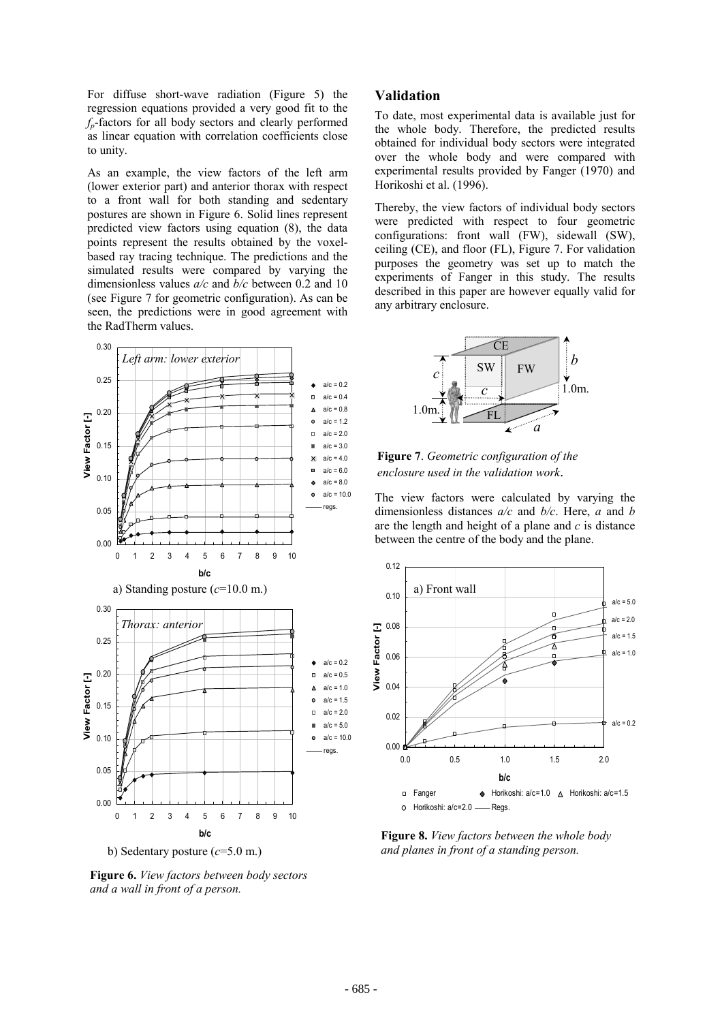For diffuse short-wave radiation (Figure 5) the regression equations provided a very good fit to the *fp*-factors for all body sectors and clearly performed as linear equation with correlation coefficients close to unity.

As an example, the view factors of the left arm (lower exterior part) and anterior thorax with respect to a front wall for both standing and sedentary postures are shown in Figure 6. Solid lines represent predicted view factors using equation (8), the data points represent the results obtained by the voxelbased ray tracing technique. The predictions and the simulated results were compared by varying the dimensionless values *a/c* and *b/c* between 0.2 and 10 (see Figure 7 for geometric configuration). As can be seen, the predictions were in good agreement with the RadTherm values.



**Figure 6.** *View factors between body sectors and a wall in front of a person.* 

#### **Validation**

To date, most experimental data is available just for the whole body. Therefore, the predicted results obtained for individual body sectors were integrated over the whole body and were compared with experimental results provided by Fanger (1970) and Horikoshi et al. (1996).

Thereby, the view factors of individual body sectors were predicted with respect to four geometric configurations: front wall (FW), sidewall (SW), ceiling (CE), and floor (FL), Figure 7. For validation purposes the geometry was set up to match the experiments of Fanger in this study. The results described in this paper are however equally valid for any arbitrary enclosure.



**Figure 7**. *Geometric configuration of the enclosure used in the validation work*.

The view factors were calculated by varying the dimensionless distances *a/c* and *b/c*. Here, *a* and *b* are the length and height of a plane and *c* is distance between the centre of the body and the plane.



**Figure 8.** *View factors between the whole body and planes in front of a standing person.*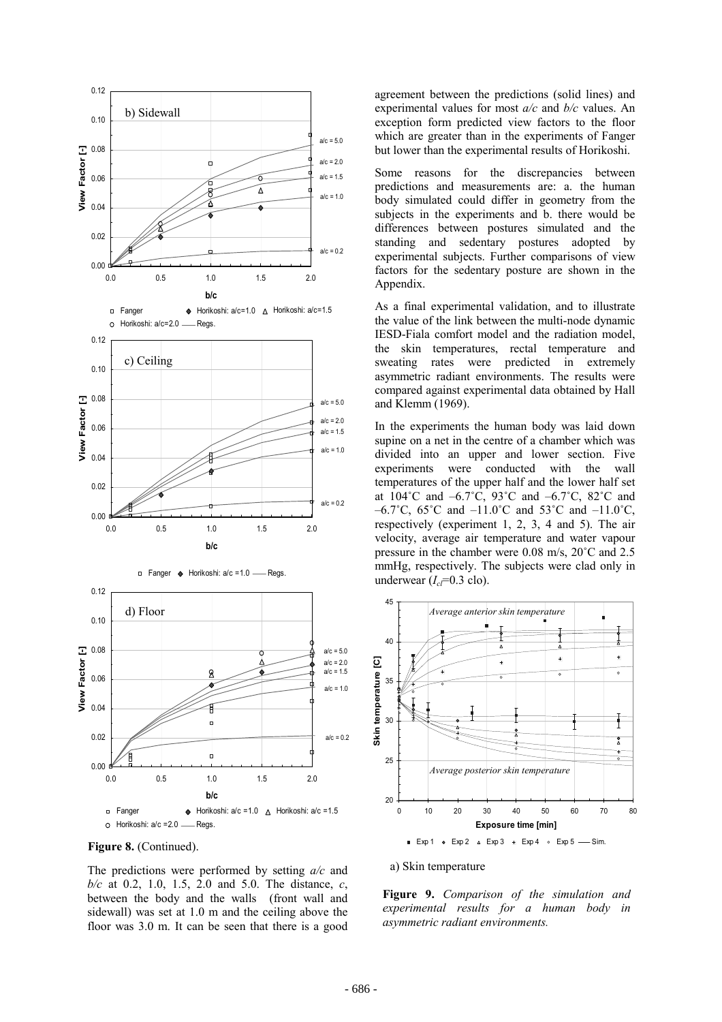



The predictions were performed by setting *a/c* and *b/c* at 0.2, 1.0, 1.5, 2.0 and 5.0. The distance, *c*, between the body and the walls (front wall and sidewall) was set at 1.0 m and the ceiling above the floor was 3.0 m. It can be seen that there is a good

agreement between the predictions (solid lines) and experimental values for most *a/c* and *b/c* values. An exception form predicted view factors to the floor which are greater than in the experiments of Fanger but lower than the experimental results of Horikoshi.

Some reasons for the discrepancies between predictions and measurements are: a. the human body simulated could differ in geometry from the subjects in the experiments and b. there would be differences between postures simulated and the standing and sedentary postures adopted by experimental subjects. Further comparisons of view factors for the sedentary posture are shown in the Appendix.

As a final experimental validation, and to illustrate the value of the link between the multi-node dynamic IESD-Fiala comfort model and the radiation model, the skin temperatures, rectal temperature and sweating rates were predicted in extremely asymmetric radiant environments. The results were compared against experimental data obtained by Hall and Klemm (1969).

In the experiments the human body was laid down supine on a net in the centre of a chamber which was divided into an upper and lower section. Five experiments were conducted with the wall temperatures of the upper half and the lower half set at 104˚C and –6.7˚C, 93˚C and –6.7˚C, 82˚C and –6.7°C, 65°C and –11.0°C and 53°C and –11.0°C, respectively (experiment 1, 2, 3, 4 and 5). The air velocity, average air temperature and water vapour pressure in the chamber were 0.08 m/s, 20˚C and 2.5 mmHg, respectively. The subjects were clad only in underwear  $(I_c = 0.3 \text{ clo})$ .



a) Skin temperature

**Figure 9.** *Comparison of the simulation and experimental results for a human body in asymmetric radiant environments.*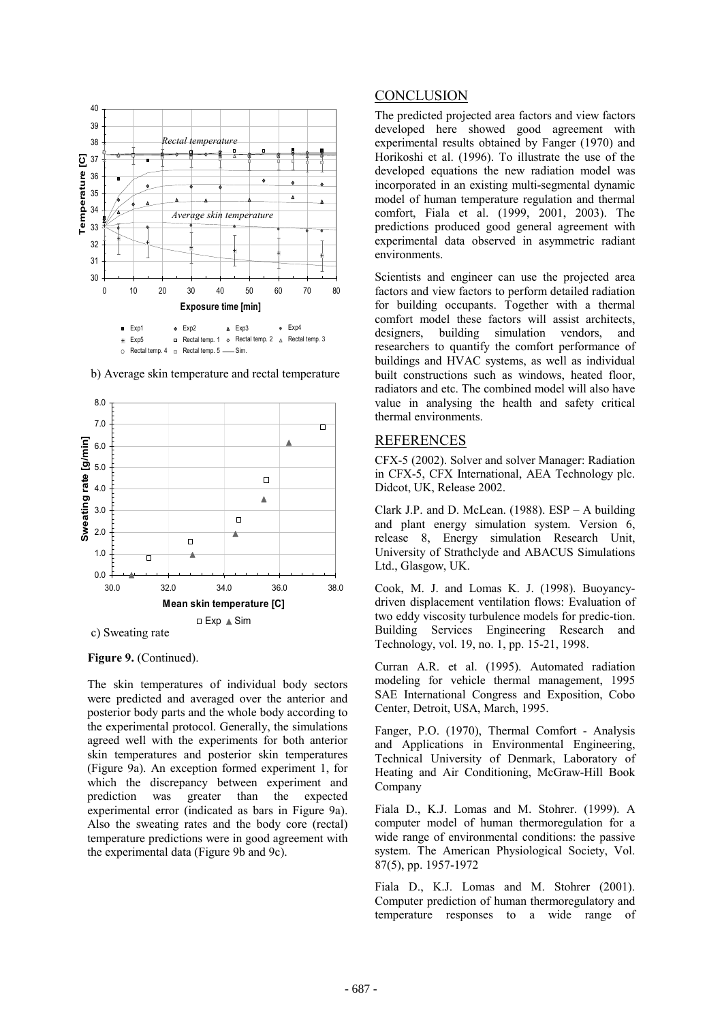



b) Average skin temperature and rectal temperature

## **Figure 9.** (Continued).

The skin temperatures of individual body sectors were predicted and averaged over the anterior and posterior body parts and the whole body according to the experimental protocol. Generally, the simulations agreed well with the experiments for both anterior skin temperatures and posterior skin temperatures (Figure 9a). An exception formed experiment 1, for which the discrepancy between experiment and prediction was greater than the expected experimental error (indicated as bars in Figure 9a). Also the sweating rates and the body core (rectal) temperature predictions were in good agreement with the experimental data (Figure 9b and 9c).

#### **CONCLUSION**

The predicted projected area factors and view factors developed here showed good agreement with experimental results obtained by Fanger (1970) and Horikoshi et al. (1996). To illustrate the use of the developed equations the new radiation model was incorporated in an existing multi-segmental dynamic model of human temperature regulation and thermal comfort, Fiala et al. (1999, 2001, 2003). The predictions produced good general agreement with experimental data observed in asymmetric radiant environments.

Scientists and engineer can use the projected area factors and view factors to perform detailed radiation for building occupants. Together with a thermal comfort model these factors will assist architects, designers, building simulation vendors, and researchers to quantify the comfort performance of buildings and HVAC systems, as well as individual built constructions such as windows, heated floor, radiators and etc. The combined model will also have value in analysing the health and safety critical thermal environments.

#### REFERENCES

CFX-5 (2002). Solver and solver Manager: Radiation in CFX-5, CFX International, AEA Technology plc. Didcot, UK, Release 2002.

Clark J.P. and D. McLean. (1988). ESP – A building and plant energy simulation system. Version 6, release 8, Energy simulation Research Unit, University of Strathclyde and ABACUS Simulations Ltd., Glasgow, UK.

Cook, M. J. and Lomas K. J. (1998). Buoyancydriven displacement ventilation flows: Evaluation of two eddy viscosity turbulence models for predic-tion. Building Services Engineering Research and Technology, vol. 19, no. 1, pp. 15-21, 1998.

Curran A.R. et al. (1995). Automated radiation modeling for vehicle thermal management, 1995 SAE International Congress and Exposition, Cobo Center, Detroit, USA, March, 1995.

Fanger, P.O. (1970), Thermal Comfort - Analysis and Applications in Environmental Engineering, Technical University of Denmark, Laboratory of Heating and Air Conditioning, McGraw-Hill Book Company

Fiala D., K.J. Lomas and M. Stohrer. (1999). A computer model of human thermoregulation for a wide range of environmental conditions: the passive system. The American Physiological Society, Vol. 87(5), pp. 1957-1972

Fiala D., K.J. Lomas and M. Stohrer (2001). Computer prediction of human thermoregulatory and temperature responses to a wide range of